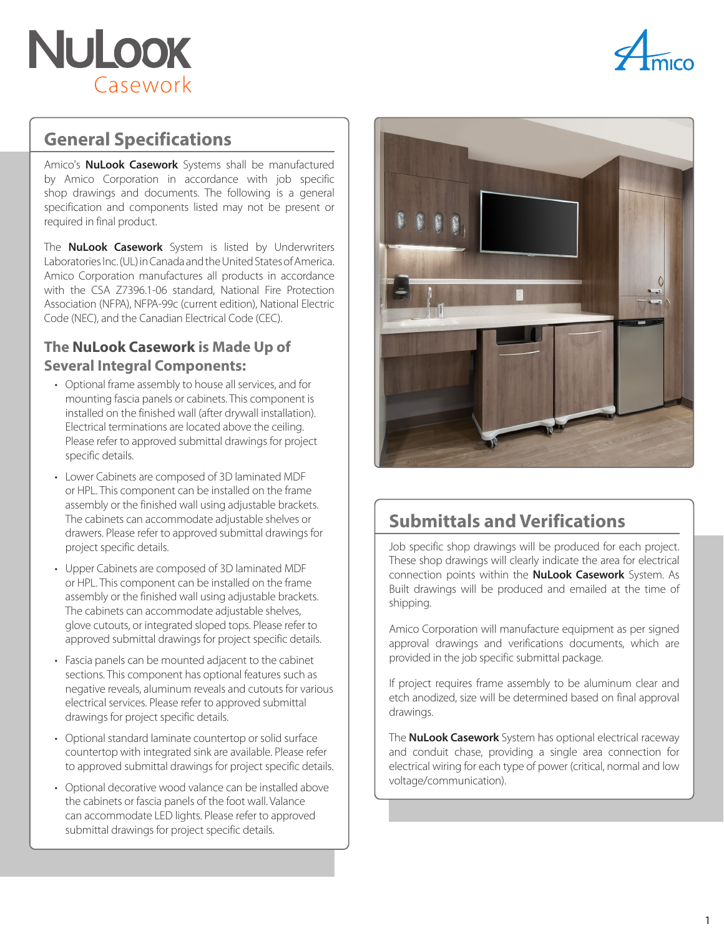



### **General Specifications**

Amico's **NuLook Casework** Systems shall be manufactured by Amico Corporation in accordance with job specific shop drawings and documents. The following is a general specification and components listed may not be present or required in final product.

The **NuLook Casework** System is listed by Underwriters Laboratories Inc. (UL) in Canada and the United States of America. Amico Corporation manufactures all products in accordance with the CSA Z7396.1-06 standard, National Fire Protection Association (NFPA), NFPA-99c (current edition), National Electric Code (NEC), and the Canadian Electrical Code (CEC).

#### **The NuLook Casework is Made Up of Several Integral Components:**

- Optional frame assembly to house all services, and for mounting fascia panels or cabinets. This component is installed on the finished wall (after drywall installation). Electrical terminations are located above the ceiling. Please refer to approved submittal drawings for project specific details.
- Lower Cabinets are composed of 3D laminated MDF or HPL. This component can be installed on the frame assembly or the finished wall using adjustable brackets. The cabinets can accommodate adjustable shelves or drawers. Please refer to approved submittal drawings for project specific details.
- Upper Cabinets are composed of 3D laminated MDF or HPL. This component can be installed on the frame assembly or the finished wall using adjustable brackets. The cabinets can accommodate adjustable shelves, glove cutouts, or integrated sloped tops. Please refer to approved submittal drawings for project specific details.
- Fascia panels can be mounted adjacent to the cabinet sections. This component has optional features such as negative reveals, aluminum reveals and cutouts for various electrical services. Please refer to approved submittal drawings for project specific details.
- Optional standard laminate countertop or solid surface countertop with integrated sink are available. Please refer to approved submittal drawings for project specific details.
- Optional decorative wood valance can be installed above the cabinets or fascia panels of the foot wall. Valance can accommodate LED lights. Please refer to approved submittal drawings for project specific details.



# **Submittals and Verifications**

Job specific shop drawings will be produced for each project. These shop drawings will clearly indicate the area for electrical connection points within the **NuLook Casework** System. As Built drawings will be produced and emailed at the time of shipping.

Amico Corporation will manufacture equipment as per signed approval drawings and verifications documents, which are provided in the job specific submittal package.

If project requires frame assembly to be aluminum clear and etch anodized, size will be determined based on final approval drawings.

The **NuLook Casework** System has optional electrical raceway and conduit chase, providing a single area connection for electrical wiring for each type of power (critical, normal and low voltage/communication).